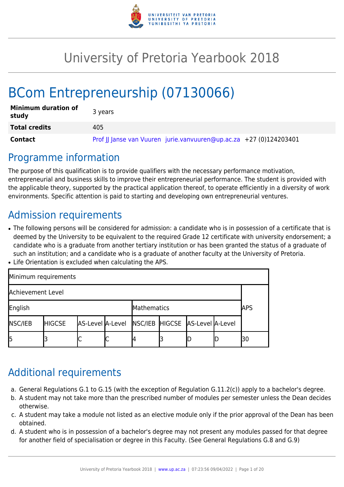

# University of Pretoria Yearbook 2018

# BCom Entrepreneurship (07130066)

| <b>Minimum duration of</b><br>study | 3 years                                                            |
|-------------------------------------|--------------------------------------------------------------------|
| <b>Total credits</b>                | 405                                                                |
| Contact                             | Prof JJ Janse van Vuuren jurie.vanvuuren@up.ac.za +27 (0)124203401 |

## Programme information

The purpose of this qualification is to provide qualifiers with the necessary performance motivation, entrepreneurial and business skills to improve their entrepreneurial performance. The student is provided with the applicable theory, supported by the practical application thereof, to operate efficiently in a diversity of work environments. Specific attention is paid to starting and developing own entrepreneurial ventures.

## Admission requirements

- The following persons will be considered for admission: a candidate who is in possession of a certificate that is deemed by the University to be equivalent to the required Grade 12 certificate with university endorsement; a candidate who is a graduate from another tertiary institution or has been granted the status of a graduate of such an institution; and a candidate who is a graduate of another faculty at the University of Pretoria.
- Life Orientation is excluded when calculating the APS.

| Minimum requirements   |               |                                                  |   |            |  |  |    |
|------------------------|---------------|--------------------------------------------------|---|------------|--|--|----|
| Achievement Level      |               |                                                  |   |            |  |  |    |
| English<br>Mathematics |               |                                                  |   | <b>APS</b> |  |  |    |
| <b>NSC/IEB</b>         | <b>HIGCSE</b> | AS-Level A-Level NSC/IEB HIGCSE AS-Level A-Level |   |            |  |  |    |
| l5                     |               |                                                  | ◡ |            |  |  | 30 |

## Additional requirements

- a. General Regulations G.1 to G.15 (with the exception of Regulation G.11.2(c)) apply to a bachelor's degree.
- b. A student may not take more than the prescribed number of modules per semester unless the Dean decides otherwise.
- c. A student may take a module not listed as an elective module only if the prior approval of the Dean has been obtained.
- d. A student who is in possession of a bachelor's degree may not present any modules passed for that degree for another field of specialisation or degree in this Faculty. (See General Regulations G.8 and G.9)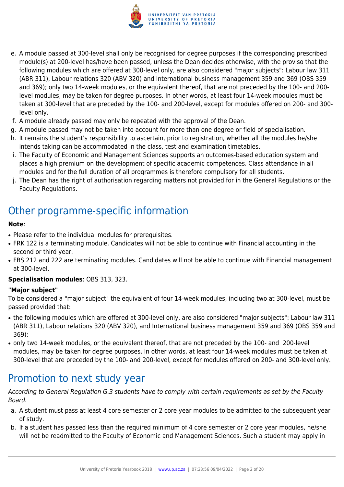

- e. A module passed at 300-level shall only be recognised for degree purposes if the corresponding prescribed module(s) at 200-level has/have been passed, unless the Dean decides otherwise, with the proviso that the following modules which are offered at 300-level only, are also considered "major subjects": Labour law 311 (ABR 311), Labour relations 320 (ABV 320) and International business management 359 and 369 (OBS 359 and 369); only two 14-week modules, or the equivalent thereof, that are not preceded by the 100- and 200 level modules, may be taken for degree purposes. In other words, at least four 14-week modules must be taken at 300-level that are preceded by the 100- and 200-level, except for modules offered on 200- and 300 level only.
- f. A module already passed may only be repeated with the approval of the Dean.
- g. A module passed may not be taken into account for more than one degree or field of specialisation.
- h. It remains the student's responsibility to ascertain, prior to registration, whether all the modules he/she intends taking can be accommodated in the class, test and examination timetables.
- i. The Faculty of Economic and Management Sciences supports an outcomes-based education system and places a high premium on the development of specific academic competences. Class attendance in all modules and for the full duration of all programmes is therefore compulsory for all students.
- j. The Dean has the right of authorisation regarding matters not provided for in the General Regulations or the Faculty Regulations.

## Other programme-specific information

#### **Note**:

- Please refer to the individual modules for prerequisites.
- FRK 122 is a terminating module. Candidates will not be able to continue with Financial accounting in the second or third year.
- FBS 212 and 222 are terminating modules. Candidates will not be able to continue with Financial management at 300-level.

#### **Specialisation modules**: OBS 313, 323.

#### **"Major subject"**

To be considered a "major subject" the equivalent of four 14-week modules, including two at 300-level, must be passed provided that:

- the following modules which are offered at 300-level only, are also considered "major subjects": Labour law 311 (ABR 311), Labour relations 320 (ABV 320), and International business management 359 and 369 (OBS 359 and 369);
- only two 14-week modules, or the equivalent thereof, that are not preceded by the 100- and 200-level modules, may be taken for degree purposes. In other words, at least four 14-week modules must be taken at 300-level that are preceded by the 100- and 200-level, except for modules offered on 200- and 300-level only.

## Promotion to next study year

According to General Regulation G.3 students have to comply with certain requirements as set by the Faculty Board.

- a. A student must pass at least 4 core semester or 2 core year modules to be admitted to the subsequent year of study.
- b. If a student has passed less than the required minimum of 4 core semester or 2 core year modules, he/she will not be readmitted to the Faculty of Economic and Management Sciences. Such a student may apply in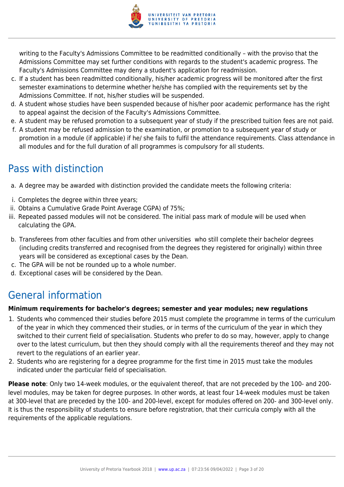

writing to the Faculty's Admissions Committee to be readmitted conditionally – with the proviso that the Admissions Committee may set further conditions with regards to the student's academic progress. The Faculty's Admissions Committee may deny a student's application for readmission.

- c. If a student has been readmitted conditionally, his/her academic progress will be monitored after the first semester examinations to determine whether he/she has complied with the requirements set by the Admissions Committee. If not, his/her studies will be suspended.
- d. A student whose studies have been suspended because of his/her poor academic performance has the right to appeal against the decision of the Faculty's Admissions Committee.
- e. A student may be refused promotion to a subsequent year of study if the prescribed tuition fees are not paid.
- f. A student may be refused admission to the examination, or promotion to a subsequent year of study or promotion in a module (if applicable) if he/ she fails to fulfil the attendance requirements. Class attendance in all modules and for the full duration of all programmes is compulsory for all students.

## Pass with distinction

- a. A degree may be awarded with distinction provided the candidate meets the following criteria:
- i. Completes the degree within three years;
- ii. Obtains a Cumulative Grade Point Average CGPA) of 75%;
- iii. Repeated passed modules will not be considered. The initial pass mark of module will be used when calculating the GPA.
- b. Transferees from other faculties and from other universities who still complete their bachelor degrees (including credits transferred and recognised from the degrees they registered for originally) within three years will be considered as exceptional cases by the Dean.
- c. The GPA will be not be rounded up to a whole number.
- d. Exceptional cases will be considered by the Dean.

## General information

## **Minimum requirements for bachelor's degrees; semester and year modules; new regulations**

- 1. Students who commenced their studies before 2015 must complete the programme in terms of the curriculum of the year in which they commenced their studies, or in terms of the curriculum of the year in which they switched to their current field of specialisation. Students who prefer to do so may, however, apply to change over to the latest curriculum, but then they should comply with all the requirements thereof and they may not revert to the regulations of an earlier year.
- 2. Students who are registering for a degree programme for the first time in 2015 must take the modules indicated under the particular field of specialisation.

**Please note**: Only two 14-week modules, or the equivalent thereof, that are not preceded by the 100- and 200 level modules, may be taken for degree purposes. In other words, at least four 14-week modules must be taken at 300-level that are preceded by the 100- and 200-level, except for modules offered on 200- and 300-level only. It is thus the responsibility of students to ensure before registration, that their curricula comply with all the requirements of the applicable regulations.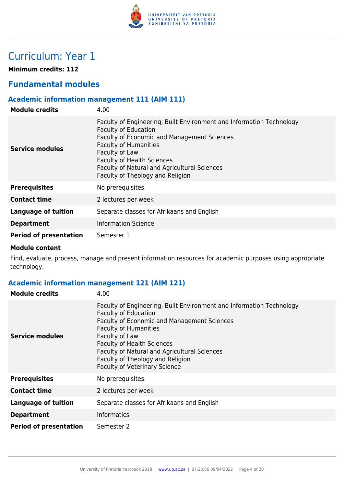

## Curriculum: Year 1

**Minimum credits: 112**

## **Fundamental modules**

## **Academic information management 111 (AIM 111)**

| <b>Module credits</b>         | 4.00                                                                                                                                                                                                                                                                                                                          |
|-------------------------------|-------------------------------------------------------------------------------------------------------------------------------------------------------------------------------------------------------------------------------------------------------------------------------------------------------------------------------|
| Service modules               | Faculty of Engineering, Built Environment and Information Technology<br><b>Faculty of Education</b><br>Faculty of Economic and Management Sciences<br><b>Faculty of Humanities</b><br>Faculty of Law<br><b>Faculty of Health Sciences</b><br>Faculty of Natural and Agricultural Sciences<br>Faculty of Theology and Religion |
| <b>Prerequisites</b>          | No prerequisites.                                                                                                                                                                                                                                                                                                             |
| <b>Contact time</b>           | 2 lectures per week                                                                                                                                                                                                                                                                                                           |
| Language of tuition           | Separate classes for Afrikaans and English                                                                                                                                                                                                                                                                                    |
| <b>Department</b>             | <b>Information Science</b>                                                                                                                                                                                                                                                                                                    |
| <b>Period of presentation</b> | Semester 1                                                                                                                                                                                                                                                                                                                    |

#### **Module content**

Find, evaluate, process, manage and present information resources for academic purposes using appropriate technology.

## **Academic information management 121 (AIM 121)**

| <b>Module credits</b>         | 4.00                                                                                                                                                                                                                                                                                                                                                                         |
|-------------------------------|------------------------------------------------------------------------------------------------------------------------------------------------------------------------------------------------------------------------------------------------------------------------------------------------------------------------------------------------------------------------------|
| <b>Service modules</b>        | Faculty of Engineering, Built Environment and Information Technology<br><b>Faculty of Education</b><br>Faculty of Economic and Management Sciences<br><b>Faculty of Humanities</b><br>Faculty of Law<br><b>Faculty of Health Sciences</b><br><b>Faculty of Natural and Agricultural Sciences</b><br>Faculty of Theology and Religion<br><b>Faculty of Veterinary Science</b> |
| <b>Prerequisites</b>          | No prerequisites.                                                                                                                                                                                                                                                                                                                                                            |
| <b>Contact time</b>           | 2 lectures per week                                                                                                                                                                                                                                                                                                                                                          |
| <b>Language of tuition</b>    | Separate classes for Afrikaans and English                                                                                                                                                                                                                                                                                                                                   |
| <b>Department</b>             | <b>Informatics</b>                                                                                                                                                                                                                                                                                                                                                           |
| <b>Period of presentation</b> | Semester 2                                                                                                                                                                                                                                                                                                                                                                   |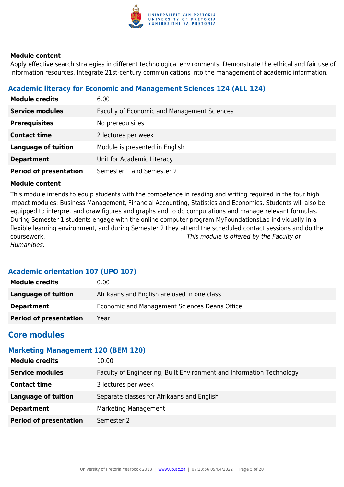

Apply effective search strategies in different technological environments. Demonstrate the ethical and fair use of information resources. Integrate 21st-century communications into the management of academic information.

## **Academic literacy for Economic and Management Sciences 124 (ALL 124)**

| <b>Module credits</b>         | 6.00                                        |
|-------------------------------|---------------------------------------------|
| <b>Service modules</b>        | Faculty of Economic and Management Sciences |
| <b>Prerequisites</b>          | No prerequisites.                           |
| <b>Contact time</b>           | 2 lectures per week                         |
| <b>Language of tuition</b>    | Module is presented in English              |
| <b>Department</b>             | Unit for Academic Literacy                  |
| <b>Period of presentation</b> | Semester 1 and Semester 2                   |

#### **Module content**

This module intends to equip students with the competence in reading and writing required in the four high impact modules: Business Management, Financial Accounting, Statistics and Economics. Students will also be equipped to interpret and draw figures and graphs and to do computations and manage relevant formulas. During Semester 1 students engage with the online computer program MyFoundationsLab individually in a flexible learning environment, and during Semester 2 they attend the scheduled contact sessions and do the coursework. This module is offered by the Faculty of Humanities.

## **Academic orientation 107 (UPO 107)**

| <b>Module credits</b>         | 0.00                                          |
|-------------------------------|-----------------------------------------------|
| Language of tuition           | Afrikaans and English are used in one class   |
| <b>Department</b>             | Economic and Management Sciences Deans Office |
| <b>Period of presentation</b> | Year                                          |

## **Core modules**

## **Marketing Management 120 (BEM 120)**

| 10.00                                                                |
|----------------------------------------------------------------------|
| Faculty of Engineering, Built Environment and Information Technology |
| 3 lectures per week                                                  |
| Separate classes for Afrikaans and English                           |
| Marketing Management                                                 |
| Semester 2                                                           |
|                                                                      |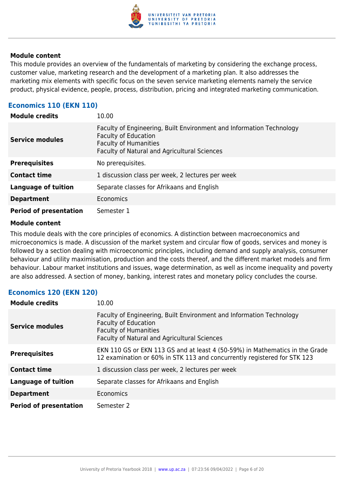

This module provides an overview of the fundamentals of marketing by considering the exchange process, customer value, marketing research and the development of a marketing plan. It also addresses the marketing mix elements with specific focus on the seven service marketing elements namely the service product, physical evidence, people, process, distribution, pricing and integrated marketing communication.

## **Economics 110 (EKN 110)**

| <b>Module credits</b>         | 10.00                                                                                                                                                                               |
|-------------------------------|-------------------------------------------------------------------------------------------------------------------------------------------------------------------------------------|
| <b>Service modules</b>        | Faculty of Engineering, Built Environment and Information Technology<br><b>Faculty of Education</b><br><b>Faculty of Humanities</b><br>Faculty of Natural and Agricultural Sciences |
| <b>Prerequisites</b>          | No prerequisites.                                                                                                                                                                   |
| <b>Contact time</b>           | 1 discussion class per week, 2 lectures per week                                                                                                                                    |
| <b>Language of tuition</b>    | Separate classes for Afrikaans and English                                                                                                                                          |
| <b>Department</b>             | Economics                                                                                                                                                                           |
| <b>Period of presentation</b> | Semester 1                                                                                                                                                                          |

#### **Module content**

This module deals with the core principles of economics. A distinction between macroeconomics and microeconomics is made. A discussion of the market system and circular flow of goods, services and money is followed by a section dealing with microeconomic principles, including demand and supply analysis, consumer behaviour and utility maximisation, production and the costs thereof, and the different market models and firm behaviour. Labour market institutions and issues, wage determination, as well as income inequality and poverty are also addressed. A section of money, banking, interest rates and monetary policy concludes the course.

#### **Economics 120 (EKN 120)**

| <b>Module credits</b>         | 10.00                                                                                                                                                                                      |
|-------------------------------|--------------------------------------------------------------------------------------------------------------------------------------------------------------------------------------------|
| <b>Service modules</b>        | Faculty of Engineering, Built Environment and Information Technology<br><b>Faculty of Education</b><br><b>Faculty of Humanities</b><br><b>Faculty of Natural and Agricultural Sciences</b> |
| <b>Prerequisites</b>          | EKN 110 GS or EKN 113 GS and at least 4 (50-59%) in Mathematics in the Grade<br>12 examination or 60% in STK 113 and concurrently registered for STK 123                                   |
| <b>Contact time</b>           | 1 discussion class per week, 2 lectures per week                                                                                                                                           |
| <b>Language of tuition</b>    | Separate classes for Afrikaans and English                                                                                                                                                 |
| <b>Department</b>             | Economics                                                                                                                                                                                  |
| <b>Period of presentation</b> | Semester 2                                                                                                                                                                                 |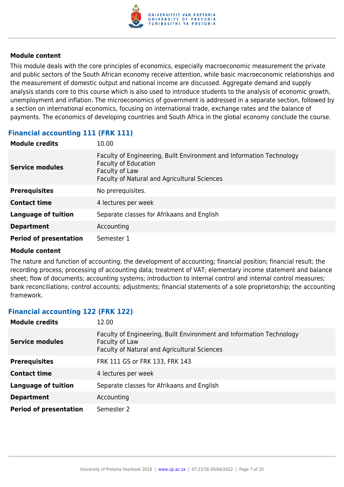

This module deals with the core principles of economics, especially macroeconomic measurement the private and public sectors of the South African economy receive attention, while basic macroeconomic relationships and the measurement of domestic output and national income are discussed. Aggregate demand and supply analysis stands core to this course which is also used to introduce students to the analysis of economic growth, unemployment and inflation. The microeconomics of government is addressed in a separate section, followed by a section on international economics, focusing on international trade, exchange rates and the balance of payments. The economics of developing countries and South Africa in the global economy conclude the course.

| <b>Module credits</b>         | 10.00                                                                                                                                                                 |
|-------------------------------|-----------------------------------------------------------------------------------------------------------------------------------------------------------------------|
| <b>Service modules</b>        | Faculty of Engineering, Built Environment and Information Technology<br><b>Faculty of Education</b><br>Faculty of Law<br>Faculty of Natural and Agricultural Sciences |
| <b>Prerequisites</b>          | No prerequisites.                                                                                                                                                     |
| <b>Contact time</b>           | 4 lectures per week                                                                                                                                                   |
| <b>Language of tuition</b>    | Separate classes for Afrikaans and English                                                                                                                            |
| <b>Department</b>             | Accounting                                                                                                                                                            |
| <b>Period of presentation</b> | Semester 1                                                                                                                                                            |

## **Financial accounting 111 (FRK 111)**

#### **Module content**

The nature and function of accounting; the development of accounting; financial position; financial result; the recording process; processing of accounting data; treatment of VAT; elementary income statement and balance sheet; flow of documents; accounting systems; introduction to internal control and internal control measures; bank reconciliations; control accounts; adjustments; financial statements of a sole proprietorship; the accounting framework.

#### **Financial accounting 122 (FRK 122)**

| <b>Module credits</b>         | 12.00                                                                                                                                  |
|-------------------------------|----------------------------------------------------------------------------------------------------------------------------------------|
| <b>Service modules</b>        | Faculty of Engineering, Built Environment and Information Technology<br>Faculty of Law<br>Faculty of Natural and Agricultural Sciences |
| <b>Prerequisites</b>          | FRK 111 GS or FRK 133, FRK 143                                                                                                         |
| <b>Contact time</b>           | 4 lectures per week                                                                                                                    |
| Language of tuition           | Separate classes for Afrikaans and English                                                                                             |
| <b>Department</b>             | Accounting                                                                                                                             |
| <b>Period of presentation</b> | Semester 2                                                                                                                             |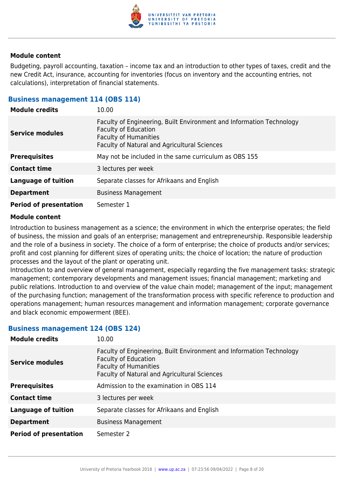

Budgeting, payroll accounting, taxation – income tax and an introduction to other types of taxes, credit and the new Credit Act, insurance, accounting for inventories (focus on inventory and the accounting entries, not calculations), interpretation of financial statements.

#### **Business management 114 (OBS 114)**

| <b>Module credits</b>         | 10.00                                                                                                                                                                               |
|-------------------------------|-------------------------------------------------------------------------------------------------------------------------------------------------------------------------------------|
| <b>Service modules</b>        | Faculty of Engineering, Built Environment and Information Technology<br><b>Faculty of Education</b><br><b>Faculty of Humanities</b><br>Faculty of Natural and Agricultural Sciences |
| <b>Prerequisites</b>          | May not be included in the same curriculum as OBS 155                                                                                                                               |
| <b>Contact time</b>           | 3 lectures per week                                                                                                                                                                 |
| <b>Language of tuition</b>    | Separate classes for Afrikaans and English                                                                                                                                          |
| <b>Department</b>             | <b>Business Management</b>                                                                                                                                                          |
| <b>Period of presentation</b> | Semester 1                                                                                                                                                                          |

#### **Module content**

Introduction to business management as a science; the environment in which the enterprise operates; the field of business, the mission and goals of an enterprise; management and entrepreneurship. Responsible leadership and the role of a business in society. The choice of a form of enterprise; the choice of products and/or services; profit and cost planning for different sizes of operating units; the choice of location; the nature of production processes and the layout of the plant or operating unit.

Introduction to and overview of general management, especially regarding the five management tasks: strategic management; contemporary developments and management issues; financial management; marketing and public relations. Introduction to and overview of the value chain model; management of the input; management of the purchasing function; management of the transformation process with specific reference to production and operations management; human resources management and information management; corporate governance and black economic empowerment (BEE).

#### **Business management 124 (OBS 124)**

| <b>Module credits</b>         | 10.00                                                                                                                                                                               |
|-------------------------------|-------------------------------------------------------------------------------------------------------------------------------------------------------------------------------------|
| <b>Service modules</b>        | Faculty of Engineering, Built Environment and Information Technology<br><b>Faculty of Education</b><br><b>Faculty of Humanities</b><br>Faculty of Natural and Agricultural Sciences |
| <b>Prerequisites</b>          | Admission to the examination in OBS 114                                                                                                                                             |
| <b>Contact time</b>           | 3 lectures per week                                                                                                                                                                 |
| <b>Language of tuition</b>    | Separate classes for Afrikaans and English                                                                                                                                          |
| <b>Department</b>             | <b>Business Management</b>                                                                                                                                                          |
| <b>Period of presentation</b> | Semester 2                                                                                                                                                                          |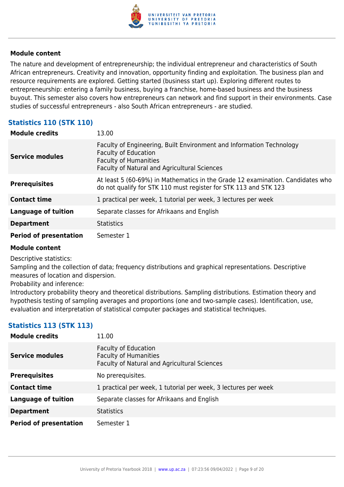

The nature and development of entrepreneurship; the individual entrepreneur and characteristics of South African entrepreneurs. Creativity and innovation, opportunity finding and exploitation. The business plan and resource requirements are explored. Getting started (business start up). Exploring different routes to entrepreneurship: entering a family business, buying a franchise, home-based business and the business buyout. This semester also covers how entrepreneurs can network and find support in their environments. Case studies of successful entrepreneurs - also South African entrepreneurs - are studied.

## **Statistics 110 (STK 110)**

| <b>Module credits</b>         | 13.00                                                                                                                                                                                      |
|-------------------------------|--------------------------------------------------------------------------------------------------------------------------------------------------------------------------------------------|
| <b>Service modules</b>        | Faculty of Engineering, Built Environment and Information Technology<br><b>Faculty of Education</b><br><b>Faculty of Humanities</b><br><b>Faculty of Natural and Agricultural Sciences</b> |
| <b>Prerequisites</b>          | At least 5 (60-69%) in Mathematics in the Grade 12 examination. Candidates who<br>do not qualify for STK 110 must register for STK 113 and STK 123                                         |
| <b>Contact time</b>           | 1 practical per week, 1 tutorial per week, 3 lectures per week                                                                                                                             |
| <b>Language of tuition</b>    | Separate classes for Afrikaans and English                                                                                                                                                 |
| <b>Department</b>             | <b>Statistics</b>                                                                                                                                                                          |
| <b>Period of presentation</b> | Semester 1                                                                                                                                                                                 |

#### **Module content**

Descriptive statistics:

Sampling and the collection of data; frequency distributions and graphical representations. Descriptive measures of location and dispersion.

Probability and inference:

Introductory probability theory and theoretical distributions. Sampling distributions. Estimation theory and hypothesis testing of sampling averages and proportions (one and two-sample cases). Identification, use, evaluation and interpretation of statistical computer packages and statistical techniques.

## **Statistics 113 (STK 113)**

| <b>Module credits</b>         | 11.00                                                                                                              |
|-------------------------------|--------------------------------------------------------------------------------------------------------------------|
| Service modules               | <b>Faculty of Education</b><br><b>Faculty of Humanities</b><br><b>Faculty of Natural and Agricultural Sciences</b> |
| <b>Prerequisites</b>          | No prerequisites.                                                                                                  |
| <b>Contact time</b>           | 1 practical per week, 1 tutorial per week, 3 lectures per week                                                     |
| Language of tuition           | Separate classes for Afrikaans and English                                                                         |
| <b>Department</b>             | <b>Statistics</b>                                                                                                  |
| <b>Period of presentation</b> | Semester 1                                                                                                         |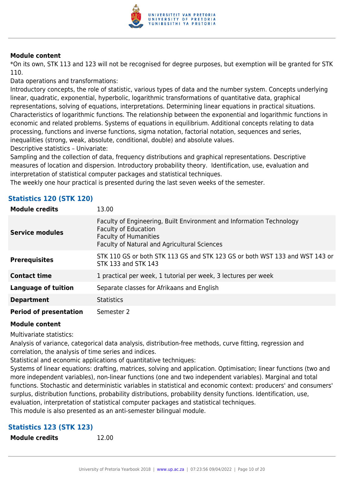

\*On its own, STK 113 and 123 will not be recognised for degree purposes, but exemption will be granted for STK 110.

Data operations and transformations:

Introductory concepts, the role of statistic, various types of data and the number system. Concepts underlying linear, quadratic, exponential, hyperbolic, logarithmic transformations of quantitative data, graphical representations, solving of equations, interpretations. Determining linear equations in practical situations. Characteristics of logarithmic functions. The relationship between the exponential and logarithmic functions in economic and related problems. Systems of equations in equilibrium. Additional concepts relating to data processing, functions and inverse functions, sigma notation, factorial notation, sequences and series, inequalities (strong, weak, absolute, conditional, double) and absolute values.

Descriptive statistics – Univariate:

Sampling and the collection of data, frequency distributions and graphical representations. Descriptive measures of location and dispersion. Introductory probability theory. Identification, use, evaluation and interpretation of statistical computer packages and statistical techniques.

The weekly one hour practical is presented during the last seven weeks of the semester.

| <b>Module credits</b>         | 13.00                                                                                                                                                                                      |
|-------------------------------|--------------------------------------------------------------------------------------------------------------------------------------------------------------------------------------------|
| <b>Service modules</b>        | Faculty of Engineering, Built Environment and Information Technology<br><b>Faculty of Education</b><br><b>Faculty of Humanities</b><br><b>Faculty of Natural and Agricultural Sciences</b> |
| <b>Prerequisites</b>          | STK 110 GS or both STK 113 GS and STK 123 GS or both WST 133 and WST 143 or<br>STK 133 and STK 143                                                                                         |
| <b>Contact time</b>           | 1 practical per week, 1 tutorial per week, 3 lectures per week                                                                                                                             |
| <b>Language of tuition</b>    | Separate classes for Afrikaans and English                                                                                                                                                 |
| <b>Department</b>             | <b>Statistics</b>                                                                                                                                                                          |
| <b>Period of presentation</b> | Semester 2                                                                                                                                                                                 |

# **Statistics 120 (STK 120)**

#### **Module content**

Multivariate statistics:

Analysis of variance, categorical data analysis, distribution-free methods, curve fitting, regression and correlation, the analysis of time series and indices.

Statistical and economic applications of quantitative techniques:

Systems of linear equations: drafting, matrices, solving and application. Optimisation; linear functions (two and more independent variables), non-linear functions (one and two independent variables). Marginal and total functions. Stochastic and deterministic variables in statistical and economic context: producers' and consumers' surplus, distribution functions, probability distributions, probability density functions. Identification, use, evaluation, interpretation of statistical computer packages and statistical techniques.

## This module is also presented as an anti-semester bilingual module.

## **Statistics 123 (STK 123)**

**Module credits** 12.00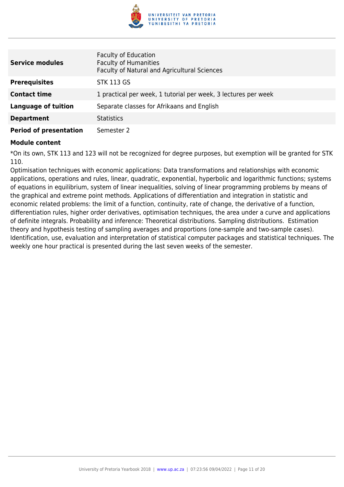

| <b>Service modules</b>        | <b>Faculty of Education</b><br><b>Faculty of Humanities</b><br>Faculty of Natural and Agricultural Sciences |
|-------------------------------|-------------------------------------------------------------------------------------------------------------|
| <b>Prerequisites</b>          | <b>STK 113 GS</b>                                                                                           |
| <b>Contact time</b>           | 1 practical per week, 1 tutorial per week, 3 lectures per week                                              |
| <b>Language of tuition</b>    | Separate classes for Afrikaans and English                                                                  |
| <b>Department</b>             | <b>Statistics</b>                                                                                           |
| <b>Period of presentation</b> | Semester 2                                                                                                  |

\*On its own, STK 113 and 123 will not be recognized for degree purposes, but exemption will be granted for STK 110.

Optimisation techniques with economic applications: Data transformations and relationships with economic applications, operations and rules, linear, quadratic, exponential, hyperbolic and logarithmic functions; systems of equations in equilibrium, system of linear inequalities, solving of linear programming problems by means of the graphical and extreme point methods. Applications of differentiation and integration in statistic and economic related problems: the limit of a function, continuity, rate of change, the derivative of a function, differentiation rules, higher order derivatives, optimisation techniques, the area under a curve and applications of definite integrals. Probability and inference: Theoretical distributions. Sampling distributions. Estimation theory and hypothesis testing of sampling averages and proportions (one-sample and two-sample cases). Identification, use, evaluation and interpretation of statistical computer packages and statistical techniques. The weekly one hour practical is presented during the last seven weeks of the semester.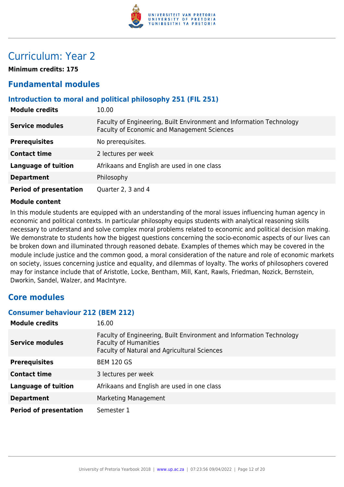

## Curriculum: Year 2

**Minimum credits: 175**

## **Fundamental modules**

## **Introduction to moral and political philosophy 251 (FIL 251)**

| <b>Module credits</b>         | 10.00                                                                                                               |
|-------------------------------|---------------------------------------------------------------------------------------------------------------------|
| <b>Service modules</b>        | Faculty of Engineering, Built Environment and Information Technology<br>Faculty of Economic and Management Sciences |
| <b>Prerequisites</b>          | No prerequisites.                                                                                                   |
| <b>Contact time</b>           | 2 lectures per week                                                                                                 |
| <b>Language of tuition</b>    | Afrikaans and English are used in one class                                                                         |
| <b>Department</b>             | Philosophy                                                                                                          |
| <b>Period of presentation</b> | Quarter 2, 3 and 4                                                                                                  |

#### **Module content**

In this module students are equipped with an understanding of the moral issues influencing human agency in economic and political contexts. In particular philosophy equips students with analytical reasoning skills necessary to understand and solve complex moral problems related to economic and political decision making. We demonstrate to students how the biggest questions concerning the socio-economic aspects of our lives can be broken down and illuminated through reasoned debate. Examples of themes which may be covered in the module include justice and the common good, a moral consideration of the nature and role of economic markets on society, issues concerning justice and equality, and dilemmas of loyalty. The works of philosophers covered may for instance include that of Aristotle, Locke, Bentham, Mill, Kant, Rawls, Friedman, Nozick, Bernstein, Dworkin, Sandel, Walzer, and MacIntyre.

## **Core modules**

#### **Consumer behaviour 212 (BEM 212)**

| <b>Module credits</b>         | 16.00                                                                                                                                                |
|-------------------------------|------------------------------------------------------------------------------------------------------------------------------------------------------|
| <b>Service modules</b>        | Faculty of Engineering, Built Environment and Information Technology<br><b>Faculty of Humanities</b><br>Faculty of Natural and Agricultural Sciences |
| <b>Prerequisites</b>          | <b>BEM 120 GS</b>                                                                                                                                    |
| <b>Contact time</b>           | 3 lectures per week                                                                                                                                  |
| <b>Language of tuition</b>    | Afrikaans and English are used in one class                                                                                                          |
| <b>Department</b>             | Marketing Management                                                                                                                                 |
| <b>Period of presentation</b> | Semester 1                                                                                                                                           |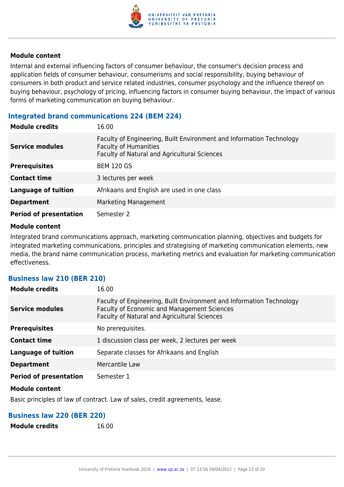

Internal and external influencing factors of consumer behaviour, the consumer's decision process and application fields of consumer behaviour, consumerisms and social responsibility, buying behaviour of consumers in both product and service related industries, consumer psychology and the influence thereof on buying behaviour, psychology of pricing, influencing factors in consumer buying behaviour, the impact of various forms of marketing communication on buying behaviour.

#### **Integrated brand communications 224 (BEM 224)**

| <b>Module credits</b>         | 16.00                                                                                                                                                |
|-------------------------------|------------------------------------------------------------------------------------------------------------------------------------------------------|
| <b>Service modules</b>        | Faculty of Engineering, Built Environment and Information Technology<br><b>Faculty of Humanities</b><br>Faculty of Natural and Agricultural Sciences |
| <b>Prerequisites</b>          | <b>BEM 120 GS</b>                                                                                                                                    |
| <b>Contact time</b>           | 3 lectures per week                                                                                                                                  |
| <b>Language of tuition</b>    | Afrikaans and English are used in one class                                                                                                          |
| <b>Department</b>             | Marketing Management                                                                                                                                 |
| <b>Period of presentation</b> | Semester 2                                                                                                                                           |

#### **Module content**

Integrated brand communications approach, marketing communication planning, objectives and budgets for integrated marketing communications, principles and strategising of marketing communication elements, new media, the brand name communication process, marketing metrics and evaluation for marketing communication effectiveness.

#### **Business law 210 (BER 210)**

| <b>Module credits</b>         | 16.00                                                                                                                                                               |
|-------------------------------|---------------------------------------------------------------------------------------------------------------------------------------------------------------------|
| <b>Service modules</b>        | Faculty of Engineering, Built Environment and Information Technology<br>Faculty of Economic and Management Sciences<br>Faculty of Natural and Agricultural Sciences |
| <b>Prerequisites</b>          | No prerequisites.                                                                                                                                                   |
| <b>Contact time</b>           | 1 discussion class per week, 2 lectures per week                                                                                                                    |
| <b>Language of tuition</b>    | Separate classes for Afrikaans and English                                                                                                                          |
| <b>Department</b>             | Mercantile Law                                                                                                                                                      |
| <b>Period of presentation</b> | Semester 1                                                                                                                                                          |

#### **Module content**

Basic principles of law of contract. Law of sales, credit agreements, lease.

#### **Business law 220 (BER 220)**

**Module credits** 16.00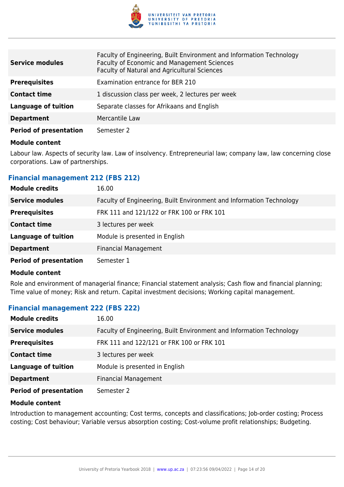

| <b>Service modules</b>        | Faculty of Engineering, Built Environment and Information Technology<br>Faculty of Economic and Management Sciences<br>Faculty of Natural and Agricultural Sciences |
|-------------------------------|---------------------------------------------------------------------------------------------------------------------------------------------------------------------|
| <b>Prerequisites</b>          | Examination entrance for BER 210                                                                                                                                    |
| <b>Contact time</b>           | 1 discussion class per week, 2 lectures per week                                                                                                                    |
| Language of tuition           | Separate classes for Afrikaans and English                                                                                                                          |
| <b>Department</b>             | Mercantile Law                                                                                                                                                      |
| <b>Period of presentation</b> | Semester 2                                                                                                                                                          |

Labour law. Aspects of security law. Law of insolvency. Entrepreneurial law; company law, law concerning close corporations. Law of partnerships.

#### **Financial management 212 (FBS 212)**

| <b>Module credits</b>         | 16.00                                                                |
|-------------------------------|----------------------------------------------------------------------|
| <b>Service modules</b>        | Faculty of Engineering, Built Environment and Information Technology |
| <b>Prerequisites</b>          | FRK 111 and 121/122 or FRK 100 or FRK 101                            |
| <b>Contact time</b>           | 3 lectures per week                                                  |
| <b>Language of tuition</b>    | Module is presented in English                                       |
| <b>Department</b>             | <b>Financial Management</b>                                          |
| <b>Period of presentation</b> | Semester 1                                                           |

#### **Module content**

Role and environment of managerial finance; Financial statement analysis; Cash flow and financial planning; Time value of money; Risk and return. Capital investment decisions; Working capital management.

## **Financial management 222 (FBS 222)**

| <b>Module credits</b>         | 16.00                                                                |
|-------------------------------|----------------------------------------------------------------------|
| <b>Service modules</b>        | Faculty of Engineering, Built Environment and Information Technology |
| <b>Prerequisites</b>          | FRK 111 and 122/121 or FRK 100 or FRK 101                            |
| <b>Contact time</b>           | 3 lectures per week                                                  |
| <b>Language of tuition</b>    | Module is presented in English                                       |
| <b>Department</b>             | <b>Financial Management</b>                                          |
| <b>Period of presentation</b> | Semester 2                                                           |

#### **Module content**

Introduction to management accounting; Cost terms, concepts and classifications; Job-order costing; Process costing; Cost behaviour; Variable versus absorption costing; Cost-volume profit relationships; Budgeting.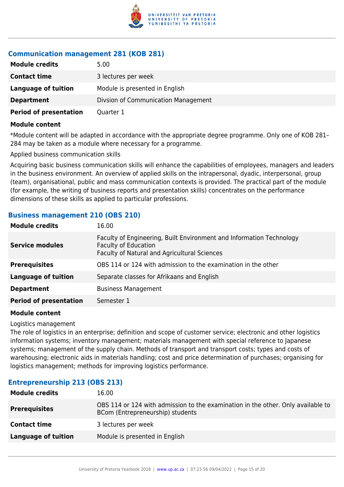

## **Communication management 281 (KOB 281)**

| <b>Module credits</b>         | 5.00                                |
|-------------------------------|-------------------------------------|
| <b>Contact time</b>           | 3 lectures per week                 |
| Language of tuition           | Module is presented in English      |
| <b>Department</b>             | Divsion of Communication Management |
| <b>Period of presentation</b> | Quarter 1                           |

#### **Module content**

\*Module content will be adapted in accordance with the appropriate degree programme. Only one of KOB 281– 284 may be taken as a module where necessary for a programme.

Applied business communication skills

Acquiring basic business communication skills will enhance the capabilities of employees, managers and leaders in the business environment. An overview of applied skills on the intrapersonal, dyadic, interpersonal, group (team), organisational, public and mass communication contexts is provided. The practical part of the module (for example, the writing of business reports and presentation skills) concentrates on the performance dimensions of these skills as applied to particular professions.

#### **Business management 210 (OBS 210)**

| <b>Module credits</b>         | 16.00                                                                                                                                               |
|-------------------------------|-----------------------------------------------------------------------------------------------------------------------------------------------------|
| <b>Service modules</b>        | Faculty of Engineering, Built Environment and Information Technology<br><b>Faculty of Education</b><br>Faculty of Natural and Agricultural Sciences |
| <b>Prerequisites</b>          | OBS 114 or 124 with admission to the examination in the other                                                                                       |
| <b>Language of tuition</b>    | Separate classes for Afrikaans and English                                                                                                          |
| <b>Department</b>             | <b>Business Management</b>                                                                                                                          |
| <b>Period of presentation</b> | Semester 1                                                                                                                                          |

#### **Module content**

Logistics management

The role of logistics in an enterprise; definition and scope of customer service; electronic and other logistics information systems; inventory management; materials management with special reference to Japanese systems; management of the supply chain. Methods of transport and transport costs; types and costs of warehousing; electronic aids in materials handling; cost and price determination of purchases; organising for logistics management; methods for improving logistics performance.

## **Entrepreneurship 213 (OBS 213)**

| <b>Module credits</b> | 16.00                                                                                                                |
|-----------------------|----------------------------------------------------------------------------------------------------------------------|
| <b>Prerequisites</b>  | OBS 114 or 124 with admission to the examination in the other. Only available to<br>BCom (Entrepreneurship) students |
| <b>Contact time</b>   | 3 lectures per week                                                                                                  |
| Language of tuition   | Module is presented in English                                                                                       |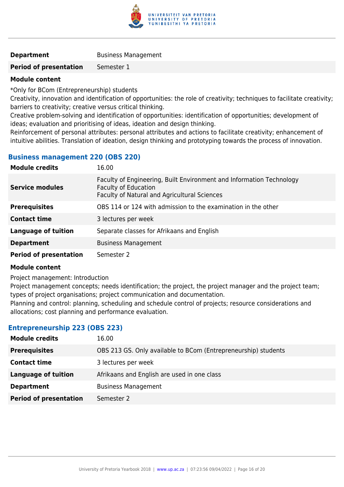

#### **Department** Business Management

**Period of presentation** Semester 1

#### **Module content**

\*Only for BCom (Entrepreneurship) students

Creativity, innovation and identification of opportunities: the role of creativity; techniques to facilitate creativity; barriers to creativity; creative versus critical thinking.

Creative problem-solving and identification of opportunities: identification of opportunities; development of ideas; evaluation and prioritising of ideas, ideation and design thinking.

Reinforcement of personal attributes: personal attributes and actions to facilitate creativity; enhancement of intuitive abilities. Translation of ideation, design thinking and prototyping towards the process of innovation.

#### **Business management 220 (OBS 220)**

| <b>Module credits</b>         | 16.00                                                                                                                                               |
|-------------------------------|-----------------------------------------------------------------------------------------------------------------------------------------------------|
| <b>Service modules</b>        | Faculty of Engineering, Built Environment and Information Technology<br><b>Faculty of Education</b><br>Faculty of Natural and Agricultural Sciences |
| <b>Prerequisites</b>          | OBS 114 or 124 with admission to the examination in the other                                                                                       |
| <b>Contact time</b>           | 3 lectures per week                                                                                                                                 |
| <b>Language of tuition</b>    | Separate classes for Afrikaans and English                                                                                                          |
| <b>Department</b>             | <b>Business Management</b>                                                                                                                          |
| <b>Period of presentation</b> | Semester 2                                                                                                                                          |

#### **Module content**

Project management: Introduction

Project management concepts; needs identification; the project, the project manager and the project team; types of project organisations; project communication and documentation.

Planning and control: planning, scheduling and schedule control of projects; resource considerations and allocations; cost planning and performance evaluation.

#### **Entrepreneurship 223 (OBS 223)**

| <b>Module credits</b>         | 16.00                                                          |
|-------------------------------|----------------------------------------------------------------|
| <b>Prerequisites</b>          | OBS 213 GS. Only available to BCom (Entrepreneurship) students |
| <b>Contact time</b>           | 3 lectures per week                                            |
| <b>Language of tuition</b>    | Afrikaans and English are used in one class                    |
| <b>Department</b>             | <b>Business Management</b>                                     |
| <b>Period of presentation</b> | Semester 2                                                     |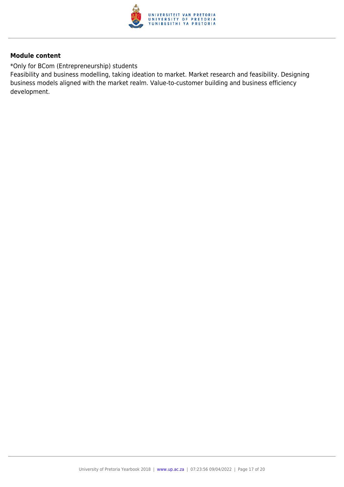

\*Only for BCom (Entrepreneurship) students

Feasibility and business modelling, taking ideation to market. Market research and feasibility. Designing business models aligned with the market realm. Value-to-customer building and business efficiency development.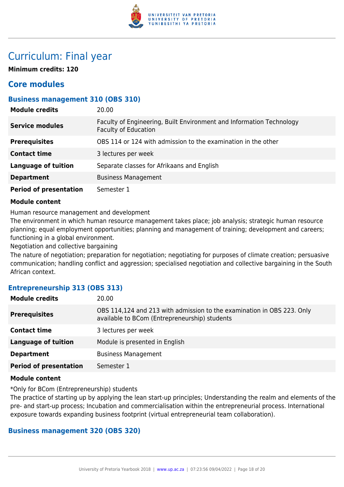

## Curriculum: Final year

**Minimum credits: 120**

## **Core modules**

## **Business management 310 (OBS 310)**

| <b>Module credits</b>         | 20.00                                                                                               |
|-------------------------------|-----------------------------------------------------------------------------------------------------|
| <b>Service modules</b>        | Faculty of Engineering, Built Environment and Information Technology<br><b>Faculty of Education</b> |
| <b>Prerequisites</b>          | OBS 114 or 124 with admission to the examination in the other                                       |
| <b>Contact time</b>           | 3 lectures per week                                                                                 |
| <b>Language of tuition</b>    | Separate classes for Afrikaans and English                                                          |
| <b>Department</b>             | <b>Business Management</b>                                                                          |
| <b>Period of presentation</b> | Semester 1                                                                                          |

#### **Module content**

Human resource management and development

The environment in which human resource management takes place; job analysis; strategic human resource planning; equal employment opportunities; planning and management of training; development and careers; functioning in a global environment.

Negotiation and collective bargaining

The nature of negotiation; preparation for negotiation; negotiating for purposes of climate creation; persuasive communication; handling conflict and aggression; specialised negotiation and collective bargaining in the South African context.

## **Entrepreneurship 313 (OBS 313)**

| <b>Module credits</b>         | 20.00                                                                                                                   |
|-------------------------------|-------------------------------------------------------------------------------------------------------------------------|
| <b>Prerequisites</b>          | OBS 114,124 and 213 with admission to the examination in OBS 223. Only<br>available to BCom (Entrepreneurship) students |
| <b>Contact time</b>           | 3 lectures per week                                                                                                     |
| <b>Language of tuition</b>    | Module is presented in English                                                                                          |
| <b>Department</b>             | <b>Business Management</b>                                                                                              |
| <b>Period of presentation</b> | Semester 1                                                                                                              |
|                               |                                                                                                                         |

#### **Module content**

\*Only for BCom (Entrepreneurship) students

The practice of starting up by applying the lean start-up principles; Understanding the realm and elements of the pre- and start-up process; Incubation and commercialisation within the entrepreneurial process. International exposure towards expanding business footprint (virtual entrepreneurial team collaboration).

## **Business management 320 (OBS 320)**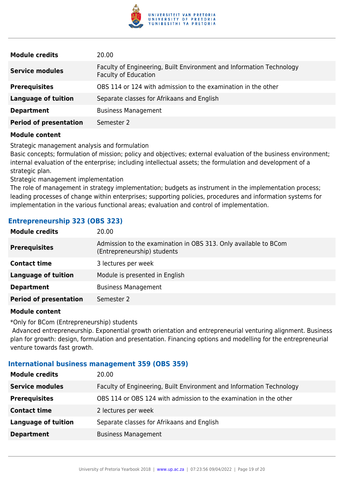

| <b>Module credits</b>         | 20.00                                                                                               |
|-------------------------------|-----------------------------------------------------------------------------------------------------|
| <b>Service modules</b>        | Faculty of Engineering, Built Environment and Information Technology<br><b>Faculty of Education</b> |
| <b>Prerequisites</b>          | OBS 114 or 124 with admission to the examination in the other                                       |
| <b>Language of tuition</b>    | Separate classes for Afrikaans and English                                                          |
| <b>Department</b>             | <b>Business Management</b>                                                                          |
| <b>Period of presentation</b> | Semester 2                                                                                          |

Strategic management analysis and formulation

Basic concepts; formulation of mission; policy and objectives; external evaluation of the business environment; internal evaluation of the enterprise; including intellectual assets; the formulation and development of a strategic plan.

Strategic management implementation

The role of management in strategy implementation; budgets as instrument in the implementation process; leading processes of change within enterprises; supporting policies, procedures and information systems for implementation in the various functional areas; evaluation and control of implementation.

## **Entrepreneurship 323 (OBS 323)**

| <b>Module credits</b>         | 20.00                                                                                          |
|-------------------------------|------------------------------------------------------------------------------------------------|
| <b>Prerequisites</b>          | Admission to the examination in OBS 313. Only available to BCom<br>(Entrepreneurship) students |
| <b>Contact time</b>           | 3 lectures per week                                                                            |
| <b>Language of tuition</b>    | Module is presented in English                                                                 |
| <b>Department</b>             | <b>Business Management</b>                                                                     |
| <b>Period of presentation</b> | Semester 2                                                                                     |
|                               |                                                                                                |

#### **Module content**

\*Only for BCom (Entrepreneurship) students

 Advanced entrepreneurship. Exponential growth orientation and entrepreneurial venturing alignment. Business plan for growth: design, formulation and presentation. Financing options and modelling for the entrepreneurial venture towards fast growth.

#### **International business management 359 (OBS 359)**

| <b>Module credits</b>      | 20.00                                                                |
|----------------------------|----------------------------------------------------------------------|
| <b>Service modules</b>     | Faculty of Engineering, Built Environment and Information Technology |
| <b>Prerequisites</b>       | OBS 114 or OBS 124 with admission to the examination in the other    |
| <b>Contact time</b>        | 2 lectures per week                                                  |
| <b>Language of tuition</b> | Separate classes for Afrikaans and English                           |
| <b>Department</b>          | <b>Business Management</b>                                           |